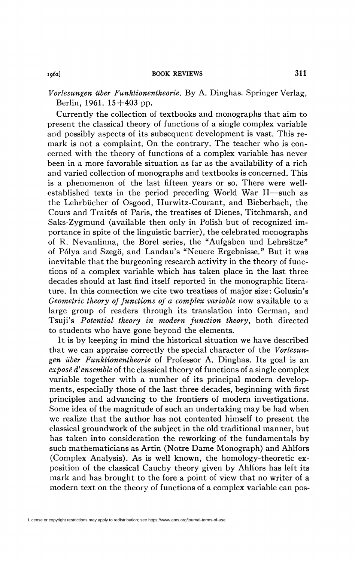*Vorlesungen ilber Funktionentheorie.* By A. Dinghas. Springer Verlag, Berlin, 1961.  $15+403$  pp.

Currently the collection of textbooks and monographs that aim to present the classical theory of functions of a single complex variable and possibly aspects of its subsequent development is vast. This remark is not a complaint. On the contrary. The teacher who is concerned with the theory of functions of a complex variable has never been in a more favorable situation as far as the availability of a rich and varied collection of monographs and textbooks is concerned. This is a phenomenon of the last fifteen years or so. There were wellestablished texts in the period preceding World War II—such as the Lehrbücher of Osgood, Hurwitz-Courant, and Bieberbach, the Cours and Traités of Paris, the treatises of Dienes, Titchmarsh, and Saks-Zygmund (available then only in Polish but of recognized importance in spite of the linguistic barrier), the celebrated monographs of R. Nevanlinna, the Borel series, the "Aufgaben und Lehrsatze" of Pólya and Szegö, and Landau's "Neuere Ergebnisse." But it was inevitable that the burgeoning research activity in the theory of functions of a complex variable which has taken place in the last three decades should at last find itself reported in the monographic literature. In this connection we cite two treatises of major size: Golusin's *Geometric theory of functions of a complex variable* now available to a large group of readers through its translation into German, and Tsuji's *Potential theory in modern function theory,* both directed to students who have gone beyond the elements.

It is by keeping in mind the historical situation we have described that we can appraise correctly the special character of the *Vorlesungen iiber Funktionentheorie* of Professor A. Dinghas. Its goal is an *exposé d'ensemble* of the classical theory of functions of a single complex variable together with a number of its principal modern developments, especially those of the last three decades, beginning with first principles and advancing to the frontiers of modern investigations. Some idea of the magnitude of such an undertaking may be had when we realize that the author has not contented himself to present the classical groundwork of the subject in the old traditional manner, but has taken into consideration the reworking of the fundamentals by such mathematicians as Artin (Notre Dame Monograph) and Ahlfors (Complex Analysis). As is well known, the homology-theoretic exposition of the classical Cauchy theory given by Ahlfors has left its mark and has brought to the fore a point of view that no writer of a modern text on the theory of functions of a complex variable can pos-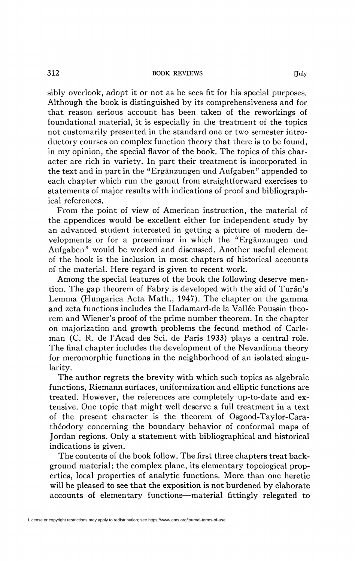sibly overlook, adopt it or not as he sees fit for his special purposes. Although the book is distinguished by its comprehensiveness and for that reason serious account has been taken of the reworkings of foundational material, it is especially in the treatment of the topics not customarily presented in the standard one or two semester introductory courses on complex function theory that there is to be found, in my opinion, the special flavor of the book. The topics of this character are rich in variety. In part their treatment is incorporated in the text and in part in the "Ergânzungen und Aufgaben" appended to each chapter which run the gamut from straightforward exercises to statements of major results with indications of proof and bibliographical references.

From the point of view of American instruction, the material of the appendices would be excellent either for independent study by an advanced student interested in getting a picture of modern developments or for a proseminar in which the "Ergânzungen und Aufgaben" would be worked and discussed. Another useful element of the book is the inclusion in most chapters of historical accounts of the material. Here regard is given to recent work.

Among the special features of the book the following deserve mention. The gap theorem of Fabry is developed with the aid of Turán's Lemma (Hungarica Acta Math., 1947). The chapter on the gamma and zeta functions includes the Hadamard-de la Vallée Poussin theorem and Wiener's proof of the prime number theorem. In the chapter on majorization and growth problems the fecund method of Carleman (C. R. de l'Acad des Sci. de Paris 1933) plays a central role. The final chapter includes the development of the Nevanlinna theory for meromorphic functions in the neighborhood of an isolated singularity.

The author regrets the brevity with which such topics as algebraic functions, Riemann surfaces, uniformization and elliptic functions are treated. However, the references are completely up-to-date and extensive. One topic that might well deserve a full treatment in a text of the present character is the theorem of Osgood-Taylor-Carathéodory concerning the boundary behavior of conformai maps of Jordan regions. Only a statement with bibliographical and historical indications is given.

The contents of the book follow. The first three chapters treat background material: the complex plane, its elementary topological properties, local properties of analytic functions. More than one heretic will be pleased to see that the exposition is not burdened by elaborate accounts of elementary functions—material fittingly relegated to